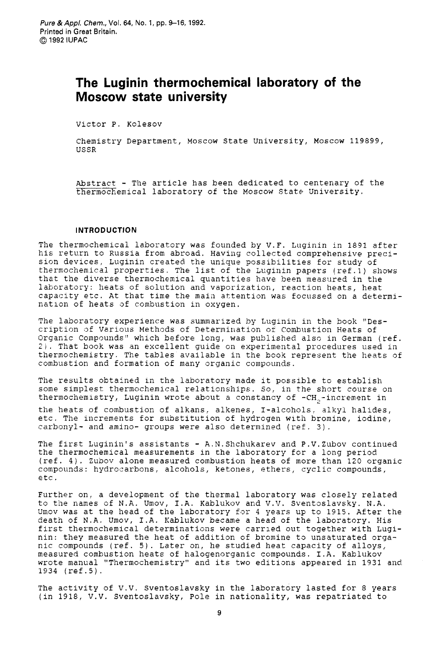# **The Luginin thermochemical laboratory of the Moscow state university**

Victor P. Kolesov

Chemistry Department, Moscow State University, Moscow 119599, USSR

Abstract - The article has been dedicated to centenary of the thermochemical laboratory of the Moscow State University.

# **INTRODUCTION**

The thermochemical laboratory was founded by V.F. Luginin in 1891 after his return to Russia from abroad. Having collected comprehensive precision devices, Luginin created the unique possibilities for study of thermochemical properties. The list of the Luginin papers (ref.1) shows that the diverse thermochemical quantities have been measured in the laboratory: heats of solution and vaporization, reaction heats, heat capacity etc. At that time the maia attention was focussed on a determination of heats of combustion in oxygen.

The laboratory experience was summarized by Luginin in the book "Description of Various Methods of Determination of Combustion Heats of Organic Compounds" which before long, was published also in German (ref. **2).** That book was an excellent. guide on experimental procedures used in thermochemistry. The tables avaiiable in the book represent the heats of combustion and formation of many organic compounds.

**The** results obtained in the laboratory made it possible to establish some simplest thermochemical relationships. *50,* in the short course on thermochemistry, Luginin wrote about a constancy of  $\texttt{-CH}_{_2}\texttt{-} \texttt{increment}$  in

the heats of combustion of alkans, alkenes, I-alcohols, alkyl halides, etc. The increments for substitution of hydrogen with bromine, iodine, carbonyl- and amino- groups were also determined (ref. 3).

The first Luginin's assistants - A.N.Shchukarev and P.V.Zubov continued the thermochemical measurements in the laboratory for a long period  $(ref. 4)$ . Zubov alone measured combustion heats of more than 120 organic compounds: hydrocarbons, alcohols, ketones, ethers, cyclic compounds, etc.

Further on, a development of the thermal laboratory was closely related to the names of N.A. Umov, I.A. Kablukov and V.V. Sventoslavsky. N.A. Umov was at the head of the laboratory for 4 years up to 1915. After the death of N.A. Umov, I.A. Kablukov became a head of the laboratory. His first thermochemical determinations were carried out together with Luginin: they measured the heat of addition of bromine to unsaturated organic compounds (ref. 5). Later on, he studied heat capacity of alloys, measured combustion heats of halogenorganic compounds. I.A. Kablukov wrote manual "Thermochemistry" and its two editions appeared in **1931** and 1934 (ref.5).

The activity of V.V. Sventoslavsky in the laboratory lasted for 8 years (in 1918, V.V. Sventoslavsky, Pole in nationality, was repatriated to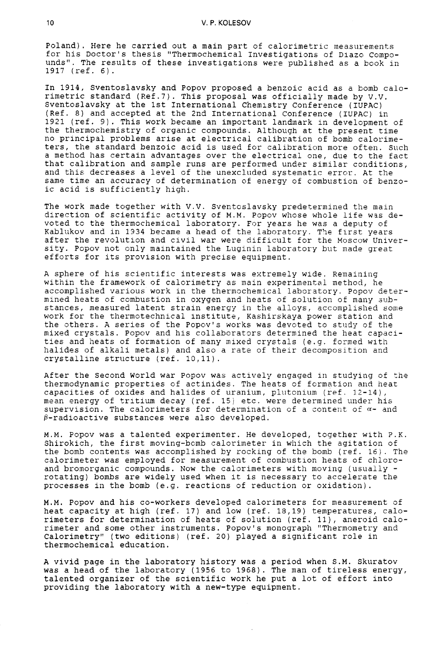Poland). Here he carried out a main part of calorimetric measurements for his Doctor's thesis "Thermochemical Investigations of Diazo Compounds". The results of these investigations were published as a book in 1917 (ref. 6).

In 1914, Sventoslavsky and Popov proposed a benzoic acid as a bomb calorimetric standard (Ref.7). This proposal was officially made by V.V. Sventoslavsky at the 1st International Chemistry Conference (IUPAC) (Ref. 8) and accepted at the 2nd International Conference (IUPAC) in 1921 (ref. **9).** This work became an important landmark in development of the thermochemistry of organic compounds. Although at the present time no principal problems arise at electrical calibration of bomb calorimeters, the standard benzoic acid is used for calibration more often. Such a method has certain advantages over the electrical one, due to the fact that calibration and sample runs are performed under similar conditions, and this decreases a level of the unexcluded systematic error. At the same time an accuracy of determination of energy of combustion of benzoic. acid is sufficiently high.

The work made together with V.V. Sventoslavsky predetermined the main direction of scientific activity of M.M. Popov whose whole life was devoted to the thermochemical laboratory. For years he was a deputy of Kablukov and in 1934 became a head of the laboratory. The first years after the revolution and civil war were difficult for the Moscow University. Popov not only maintained the Luginin laboratory but made great efforts for its provision with precise equipment.

A sphere of his scientific interests was extremely wide. Remaining within the framework of calorimetry as main experimental method, he accomplished various work in the thermochemical laboratory. Popov determined heats of combustion in oxygen and heats of solution of many aubstances, measured latent strain energy in the alloys, accomplished some work for the thermotechnical institute, Kashirskaya power station and the others. A series of the Popov's works was devoted to study of the mixed crystals. Popov and his collaborators determined the heat capacities and heats of formation of many mixed crystals (e.g. formed with halides of alkali metals) and also a rate of their decomposition and crystalline structure (ref. 19,ll).

After the Second World war Popov was actively engaged in studying of the thermodynamic properties of actinides. The heats of formation and heat capacities of oxides and halides of uranium, plutonium (ref. 12-14), mean energy of tritium decay (ref. 15) etc. were determined under his supervision. The calorimeters for determination of a content of *a-* and  $\beta$ -radioactive substances were also developed.

M.M. Popov was a talented experimenter. He developed, together with P.K. Shirokich, the first moving-bcmb calorimeter in which the agitation of the bomb contents was accomplished by rocking of the bomb (ref. 16). The calorimeter was employed for measurement of combustion heats of chloroand bromorganic compounds. Now the calorimeters with moving (usually rotating) bombs are widely used when it is necessary to accelerate the processes in the bomb (e.g. reactions of reduction or oxidation).

M.M. Popov and his co-workers developed calorimeters for measurement of heat capacity at high (ref. 17) and low (ref. 18,19) temperatures, calorimeters for determination of heats of solution (ref. ll), aneroid calorimeter and some other instruments. Popov's monograph "Thermometry and Calorimetry" (two editions) (ref. 20) played a significant role in thermochemical education.

A vivid page in the laboratory history was a period when S.M. Skuratov was a head of the laboratory (1956 to 1968). The man of tireless energy, talented organizer of the scientific work he put a lot of effort into providing the laboratory with a new-type equipment.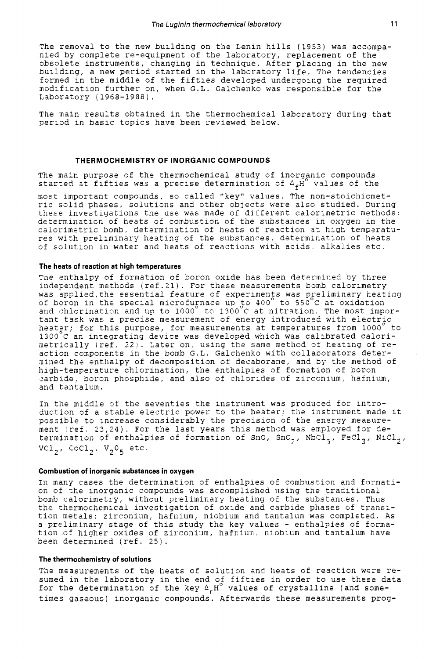The removal to the new building on the Lenin hills (1953) was accompanied by complete re-equipment of the laboratory, replacement of the obsolete instruments, changing in technique. After placing in the new building, a new period started in the laboratory life. The tendencies formed in the middle of the fiftiss developed undergoing the required modification further on, when G.L. Galchenko was responsible for the Laboratory ( 1968-1988) .

The main results obtained in the thermochemical laboratory during that period in basic topics have been reviewed below.

#### **THERMOCHEMISTRY OF INORGANIC COMPOUNDS**

The main purpose of the thermochemical study of inorganic compounds started at fifties was a precise determination of  $^{\Delta} \! {\cal L}^{\rm H^o}$  values of the

most important compounds, so called "key" values. The non-stoichiometric solid phases, solutions and other objects were also studied. During theze investigations the use was made of ditferent calorimetric methods: determinaticn of heats of conbustion of the substances in oxygen in the calorimetric bomb, determination of heats of reaction at high temperatures with preliminary heating of the substances, determination of heats of solution in water and heats of reactions with acids alkalies etc.

## **The heats of reaction at high temperatures**

The enthalpy of formation of boron oxide has been determined by three independent methods (ref. 21). For these measurements bomb calorimetry was applied, the essential feature of experiments was preliminary heating of boron in the special microfupace up *\$0* 400 to 550 C at oxidation and chlorination and up to 1000 $^\circ$  to 1300 $^\circ$ C at nitration. The most important task was a precise measurement of energy introduced with electric heater; for this purpose, for measurements at temperatures from 1000° to 1300°C an integrating device was developed which was calibrated calorimetrically (ref. 22). Later on, using the same method of heating of reaction components in the bomb G.L. Galchenko with collaborators deternined the entlialpy of decomposition of decaborane, and by the method of high-temperature chlorination, the enthalpies of formation of boron sarbide, boron phosphide, and also of chlorides of zirconium, hafnium, and tantalum.

In the middle of the seventies the instrument was produced for introduction of a stable electric power to the heater; the instrument made it possible to increase considerably the precision of the energy measurement (ref. 23,24). For the last years this method was employed for determination of enthalpies of formation of SnO, SnO<sub>2</sub>, NbCl<sub>5</sub>, FeCl<sub>3</sub>, NiCl<sub>2</sub>,  $VCl_2$ ,  $CoCl_2$ ,  $V_2O_5$  etc.

## **Combustion of inorganic substances in oxygen**

In many cases the determination of enthalpies of combustion and formation of the inorganic compounds was accomplished using the traditional bomb calorimetry, without preliminary heating of the substances. Thus the thermochemical investigation of oxide and carbide phases of transiticn metals: zirconium, hafnium, niobium and tantalum was completed. As a preliminary stage of this study the key values - enthalpies of formation of higher oxides of zirconium, hafnium, niobium and tantalum have been determined (ref. 25).

# **The thermochemistry of solutions**

The measurements of the heats of solution and heats cf reaction were resumed in the laboratory in the end of fifties in order to use these data for the determination of the key  $\Delta_{\epsilon} H^{\circ}$  values of crystalline (and sometimes gaseous) inorganic compounds. Afterwards these measurements prog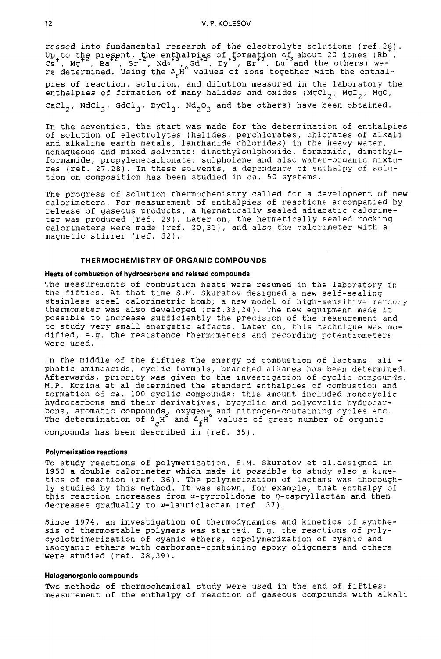ressed into fundamental research of the electrolyte solutions (ref.20). Up to the present, the enthalpies of formation of about 20 iones (Rb , Up to the present, the enthalpies of formation of about 20 iones (Rb , Cs , Mg , Ba , Sr , Ndo , Gd , Dy , Er , Lu and the others) were determined. Using the  $\mathtt{\Delta}_\mathtt{f}$ H $\check{~}$  values of ions together with the enthalpies of reaction, solution, and dilution measured in the laboratory the enthalpies of formation of many halides and oxides (MgCl<sub>2</sub>, MgI<sub>2</sub>, MgO, CaCl<sub>2</sub>, NdCl<sub>3</sub>, GdCl<sub>3</sub>, DyCl<sub>3</sub>, Nd<sub>2</sub>O<sub>3</sub> and the others) have been obtained.

In the seventies, the start was made for the determination of entlialpies of solution of electrolytes (halides, perchlorates, zhlorates of alkali and alkaline earth metals, lanthanide chlorides) in the heavy water, nonaqueous and mixed solvents: dimethylsulphoxide, formamide, dimethylformamide, propylenecarbonate, sulpholane and also water-organic mixtures (ref. 27,28). In these solvents, a dependence of enthalpy of solution on composition has been studied in ca. 50 systems.

The progress of solution thermochemistry called for a development of new calorimeters. For measurement of enthalpies of reactions accompanied by release of gaseous products, a hermetically sealed adiabatic calorimeter was produced (ref. 29). Later on, the hermetically sealed rocking calorimeters were made (ref. **30,31),** and also the calorimeter with a magnetic stirrer (ref. 32).

# **THERMOCHEMISTRY OF ORGANIC COMPOUNDS**

#### **Heats of combustion of hydrocarbons and related compounds**

The measurements of combustion heats were resumed in the laborstory in the fifties. At that time S.M. Skuratov designed a new self-sealing stainless steel calorimetric bomb; a new model of high-sensitive mercury thermometer was also developed (ref. **33,34)** . The new equipment inacie it possible to increase sufficiently the precision of the measurement and to study very small energetic effacts. Later on, this technique was modified, e.g. the resistance thermometers and recording potentiometers were used.

In the middle of the fifties the energy of combustion of lactams, ali phatic aminoacids, cyclic formals, branched alkanes has been determined. Afterwards, priority was given to the investigation of cyclic compomds. M.P. Kozina et al determined the standard enthalpies of combustion and formation of ca. 100 cyclic compounds; this amount included monocyclic hydrocarbons and their derivatives, bycyclic and polycyclic hydrocarbons, aromatic compounds, oxygen-ond nitrogen-containing cycles etc. The determination of  $\Delta_{\rm c}^{\rm }{\rm H}^{\rm c}$  and  $\Delta_{\rm f}^{\rm }{\rm H}^{\rm c}$  values of great number of organic compounds has been described in (ref. *35).* 

## **Polymerization reactions**

To study reactions of polymerization, S.M. skuratov et al.designed in 1950 a double calorimeter which made it possible to study also a **klne**tics of reaction (ref. 36). The polymerization of lactams was thoroughly studied by this method. It was shown, for example, that enthalpy of this reaction increases from a-pyrrolidone to q-capryllactam and then decreases gradually to w-lauriclactam (ref. **37).** 

Since 1974, an investigation of thermodynamics and kinetics of synthesis of thermostable polymers was started. E.g. the reactions of polycyclotrimerization of cyanic ethers, copolymerization of cyanic and isocyanic ethers with carborane-containing epoxy oligomers and others were studied (ref. 38,39).

#### **Halogenorganic compounds**

Two methods of thermochemical study were used in the end of fifties: measurement of the enthalpy of reaction of gaseous compounds with alkali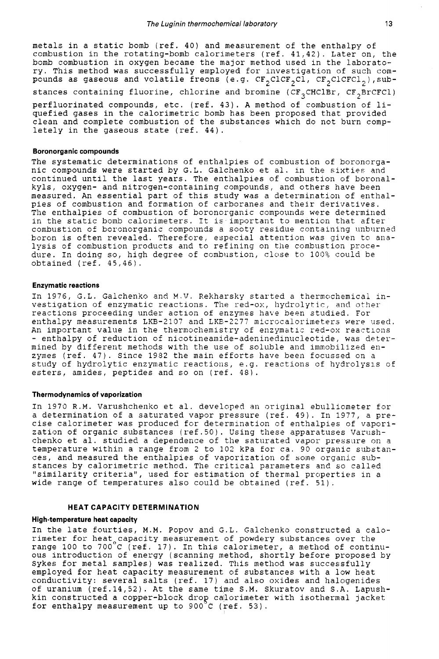metals in a static bomb (ref. 40) and measurement of the enthalpy of combustion in the rotating-bomb calorimeters (ref. 41,42). Later on, the bomb combustion in oxygen became the major method used in the laboratory. This method was successfully employed for investigation of such compounds as gaseous and volatile freons (e.g.  $CF_{2}C1CF_{2}CI$ ,  $CF_{2}C1CFC1_{2}$ ), substances containing fluorine, chlorine and bromine (CF<sub>3</sub>CHClBr, CF<sub>2</sub>BrCFCl)

perfluorinated compounds, etc. (ref. 43). A method of combustion of liquefied gases in the calorimetric bomb has been proposed that provided clean and complete combustion of the substances which do not burn completely in the gaseous state (ref. 44).

## **Boronorganic compounds**

The systematic determinations of enthalpies of combustion of boronorganic compounds were started by G.L. Galchenko et al. in the sixties and continued until the last years. The enthalpies of combustion of boronalkyls, oxygen- and nitrogen-containing compounds, and others have been measured. An essential part of this study was a determination of enthalpies of combustion and formation of carboranes and their derivatives. The enthalpies of combustion of boronorganic compounds were determined in the static bomb calorimeters. It is important to mention that after combustion of boronorganic compounds a sooty residue containing unburned boron is often revealed. Therefore, especial attention was given to analysis of Combustion products and to refining on the combustion procedure. In doing so, high degree of combustion, close to 100% could be obtained (ref. 45,46).

### **Enzymatic reactions**

In 1976, G.L. Galchenko and M.V. Rekharsky started a thermochemicai investigation of enzymatic reactions. The red-ox, hydrolytic, and other reactions proceeding under action of enzymes have been studied. For enthalpy measurements LKB-2107 and LKB-2277 microcalorimeters were used. An important value in the thermochemistry of enzymatic red-ox reactions - enthalpy of reduction of nicotineamide-adeninedinucleotide, was determined by different methods with the use of soluble and immobilized enzymes (ref. 47). Since 1982 the nain efforts have been focussed on a study of hydrolytic enzymatic reactions, e.g. reactions of hydrolysis of esters, amides, peptides and so on (ref. 48).

# **Thermodynamics of vaporization**

In 1970 R.M. Varushchenko et al. developed an original ebuliiometer for a determination of a saturated vapor pressure (ref. 49). In 1977, a precise calorimeter was produced for determination of enthalpies of vaporization of organic substances (ref.50). Using these apparatuses Varushchenko et al. studied a dependence of the saturated vapor pressure on a temperature within a range from **2** to 102 kPa for ca. 90 organic substances, and measured the enthalpies of vaporization of some organic substances by calorimetric method. The critical parameters an6 so called "similarity criteria", used for estimation of thermal properties in a wide range of temperatures also could be obtained (ref. 51).

# **HEAT CAPACITY DETERMINATION**

## **High-temperature heat capacity**

In the late fourties, M.M. Popov and G.L. Galchenko constructed a calorimeter for heat capacity measurement of powdery substances over the range 100 to 700°C (ref. 17). In this calorimeter, a method of continuous introduction of energy (scanning method, shortly before proposed by Sykes for metal samples) was realized. This method was successfully employed for heat capacity measurement of substances with a low heat conductivity: several salts (ref. 17) and also oxides and halogenides of uranium (ref.14,52). At the same time **S.M.** Skuratov and S.A. Lapushkin constructed a copper-block drop calorimeter with isothermal jacket<br>for enthalpy measurement up to 900°C (ref. 53).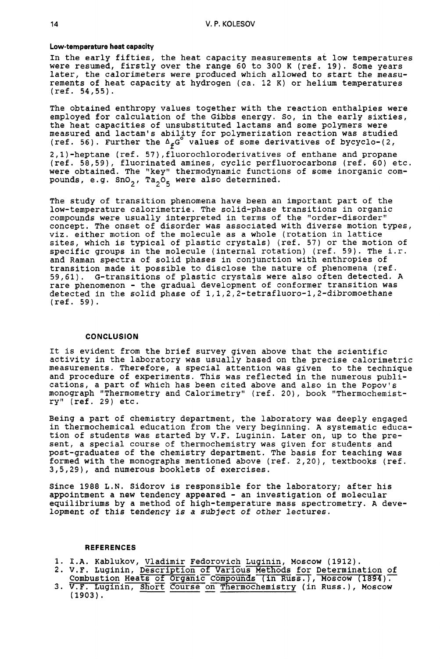#### **Low-temperature heat capacity**

In the early fifties, the heat capacity measurements at low temperatures were resumed, firstly over the range 60 to 300 K (ref. 19). Some years later, the calorimeters were produced which allowed to start the measurements of heat capacity at hydrogen (ca. 12 K) or helium temperatures  $(ref. 54, 55)$ .

The obtained enthropy values together with the reaction enthalpies were employed for calculation of the Gibbs energy. So, in the early sixties, the heat capacities of unsubstituted lactams and some polymers were measured and lactam's ability for polymerization reaction was studied (ref. 56). Further the  $\Delta_{\phi}G^{\circ}$  values of some derivatives of bycyclo-(2,

2,l)-heptane (ref. **57),fluorochloroderivatives** of enthane and propane (ref. 58/59), fluorinated amines, cyclic perfluorocarbons (ref. 60) etc. were obtained. The "key" thermodynamic functions of some inorganic compounds, e.g. SnO<sub>2</sub>, Ta<sub>2</sub>O<sub>5</sub> were also determined.

The study of transition phenomena have been an important part of the low-temperature calorimetrie. The solid-phase transitions in organic compounds were usually interpreted in terms of the "order-disorder" concept. The onset of disorder was associated with diverse motion types, viz. either motion of the molecule as a whole (rotation in lattice sites, which is typical of plastic crystals) (ref. 57) or the motion of specific groups in the molecule (internal rotation) (ref. 59). The i.r. and Raman spectra of solid phases in conjunction with enthropies of transition made it possible to disclose the nature of phenomena (ref. 59/61), G-transitions of plastic crystals were also often detected. **A**  rare phenomenon - the gradual development of conformer transition was detected in the solid phase of **1,1,2,2-tetrafluoro-1,2-dibromoethane**  (ref. 59).

## **CONCLUSION**

It is evident from the brief survey given above that the scientific activity in the laboratory was usually based on the precise calorimetric measurements. Therefore, a special attention was given to the technique and procedure of experiments. This was reflected in the numerous publications, a part of which has been cited above and also in the Popov's monograph "Thermometry and Calorimetry" (ref. 20), book "Thermochemistry" (ref. 29) etc.

Being a part of chemistry department, the laboratory was deeply engaged in thermochemical education from the very beginning. **A** systematic education of students was started by V.F. Luginin. Later on, up to the present, a special course of thermochemistry was given for students and post-graduates of the chemistry department. The basis for teaching was formed with the monographs mentioned above (ref. 2,20), textbooks (ref. 3/5/29), and numerous booklets of exercises.

Since 1988 L.N. Sidorov is responsible for the laboratory; after his appointment a new tendency appeared - an investigation of molecular equilibriums by a method of high-temperature mass spectrometry. **A** development of this tendency is *a* subject of *other* lectures.

# **REFERENCES**

- 1. **I.A.** Kablukov, Vladimir Fedorovich Luginin, Moscow (1912).
- 2. V.F. Luginin, Description of Various Methods for Determination of Combustion Heats of Organic Compounds (in Russ.), Moscow (1894).
- 3. V.F. Luginin, Short Course on Thermochemistry (in Russ.), Moscow V.F. Nabiunov, <u>viadimnit</u><br>V.F. Luginin, <u>Descriptic</u><br>Combustion Heats of Org.<br>V.F. Luginin, <u>Short</u> Coul<br>(1903).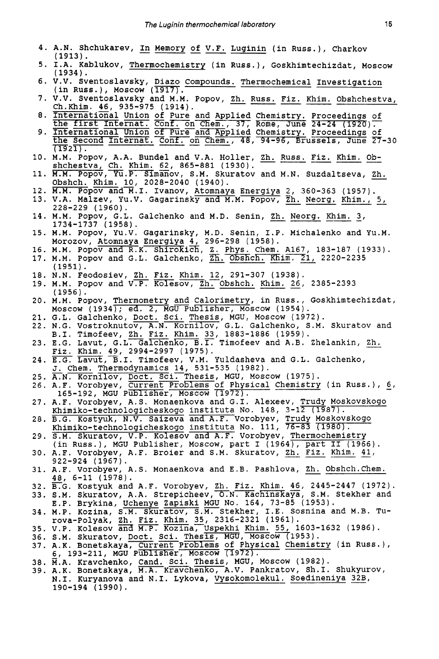- **4.**  A.N. Shchukarev, In Memory of V.F. Luginin (in Russ.), Charkov **(1913).**  The Luginin therm<br>In Memory of
- **5.**  I.A. Kablukov, Thermochemistry (in Russ.), Goskhimtechizdat, Moscow **(1934).**  (1913).<br>I.A. Kablukov, <u>Thermochemistry</u> (in Russ.), Goskhimtechizdat, Moscow<br>(1934).<br>V.V. Sventoslavsky, Diazo Compounds. Thermochemical Investigation<br>(in Russ.), Moscow (1917).<br>V.V. Sventoslavsky and M.M. Popov, <u>Zh. Rus</u>
- **6.**  V.V. Sventoslavsky, Diazo Compounds. Thermochemical Investigation (1934).<br>(1934).<br>U.V. Sventoslavsky, <u>Diazo Compo</u><br>(in Russ.), Moscow (1917).<br>U.V. Sventoslavsky and M.M. Box
- **7.**  Ch.Khim. 46, 935-975 (1914). 1917).<br>nd M.M. Popov, <u>Zh. R.</u><br>(1914).<br>of Pure and Applied<br>Conf. on Chem., 37,
- **8.**  of Pure and Applied Charles Conf. on Chem., 37, Robbin<br>
of Pure and Applied Charles Charles Charles Charles<br>
Conf. on Chem., 48, Chemistry. Proceedings of Rome, June **24-24 (1920** 17 Chemistry. Proceedings of  $\frac{\text{ch}}{\overline{25}}$
- **9.**  International Union of Pure and Applied Chemistry. Proceedings of<br>the Second Internat. Conf. on Chem., 48, 94-96, Brussels, June 27-30<br>(1921).<br>M.M. Popov, A.A. Bundel and V.A. Holler, <u>Zh. Russ. Fiz. Khim. Ob-</u><br>shchestva, 10. M.M. Popov, A.A. Bundel and V.A. Holler, Zh. Russ. Fiz. Khim. **Ob**the Second Internat. Conf. on Chem., 48, 94-96, Brussels, June 27-30<br>(1921).<br>M.M. Popov, A.A. Bundel and V.A. Holler, Zh. Russ. Fiz. Khim. Ob-<br>shchestva, Ch. Khim. 62, 865-881 (1930).<br>M.M. Popov, Yu.P. Simanov, S.M. Skurat
- 
- **11.** M.M. Popov, Yu.P. Simanov, S.M. Skuratov and M.N. Suzdaltseva. Zh. 0bshch. Khim. 10, 2028-2040 (1940).<br>12. **M.M. Popov and M.I. Ivanov, <u>Atomnaya Energiya</u> 2, 360-363 (1957).**
- 
- **13.** V.A. Malzev, Yu.V. Gagarinsky and M.M. Popov, Zh. Neorg. Khim., 5, N. H. H. H. H. H. H. H. H. 2028-2040 (1940).<br>M.M. Popov and M.I. Ivanov, Atomnaya Energiya 2, 360-363<br>V.A. Malzev, Yu.V. Gagarinsky and M.M. Popov, <u>Zh. Neorg.</u><br>228-229 (1960).
- 14. M.M. Popov, G.L. Galchenko and M.D. Senin, Zh. Neorg. Khim. 3, **1734-1737 (1958).**
- **15.** M.M. Popov, Yu.V. Gagarinsky, M.D. senin, I.P. Michalenko and Yu.M. Morozov, Atomnaya Energiya **4, 296-298 (1958).**  14. M.M. Popov, G.L. Galchenko and M.D. Senin, <u>2n. Neorg. Knim. 3</u>, 1734-1737 (1958).<br>15. M.M. Popov, Yu.V. Gagarinsky, M.D. Senin, I.P. Michalenko and Y<br>Morozov, Atomnaya Energiya 4, 296-298 (1958).<br>16. M.M. Popov and R.
- **16.** M.M. Popov and R.K. Shirokiz, Z. Phys. Chem. **A167, 183-187 (1933). (1951 1. 19. N.M. Popov and R.K. Shirokich, Z. Phys. Chem. A167, 183-187 (19. 19. N.M. Popov and G.L. Galchenko, <u>Zh. Obshch. Khim. 21</u>, 2220-223<br>
<b>19. N.M. Feodosiev, Zh. Fiz. Khim. 12, 291-307 (1938).**<br> **19. M.M. Popov and V.P.**
- 
- **18.** N.N. Feodosiev, Zh. Fiz. Khim. **12, 291-307 (1938). (1956).**
- **20.** M.M. Popov, Thermometry and Calorimetry, in RUSS., Goskhimtechizdat, Moscow **(1934);** ed. **2,** MGU Publisher, Moscow **(1954).**
- **21.** G.L. Galchenko, Doct. Sci. Thesis, MGU, Moscow **(1972).**
- **22.** N.G. Vostroknutov, A.N. Kornilov, G.L. Galchenko, S.M. Skuratov and B.I. Timofeev, Zh. Fiz. Khim. **33, 1883-1886 (1959).**
- 23. E.G. Lavut, G.L<del>. Galchenko, B.T.</del> Timofeev and A.B. Zhelankin, Zh. Fiz. Khim. **49, 2994-2997 (1975). 22. N.S. VOSELONNICOV, A.N. NOMITION, S.E. Odichemko, B.I. Timofeev, Zh. Fiz. Khim. 33, 1883-1886 (1959).**<br>23. E.G. Lavut, G.L. Galchenko, B.I. Timofeev and A.B. Zhelankin, <u>Zh. Fiz. Khim. 49, 2994-2997 (1975).</u><br>24. E.G.
- J. Chem. Thermodynamics 14, **531-535 (1982).**  E.G. La<br>Fiz. Kh:<br>E.G. La<br>J. Chem<br>A.N. Ko:
- 25. <del>A.</del>N. Kornilov, <u>Doct. Sci. Thesis</u>, MGU, Moscow (1975).
- 26. A.F. Vorobyev, Current Problems of Physical Chemistry (in Russ.), 6, **165-192,** MGU Publisher, Moscow **(1972).**
- **27.** A.F. Vorobyev, A.S. Monaenkova and G.I. Alexeev, Trudy Moskovskogo <u>Khimiko-technologicheskogo instituta</u> No. 148, 3–12 (1
- **28.** B.G. Kostyuk, N.V. Saizeva and A.F. Vorobyev, Trudy Moskovskogo Khimiko-technologicheskogo instituta No. **111,** 76-83 **(1980).**
- **29.** S.M. Skuratov, V.P. Kolesov and A.F. Vorobyev, Thermochemistry (in Russ.), MGU Publisher, MOSCOW, part I **(1964),** part I1 **(1966).**
- **30.** A.F. Vorobyev, A.F. Broier and S.M. Skuratov, Zh. Fiz. Khim. **41, 922-924 (1967).**
- **31.** A.F. Vorobyev, A.S. Monaenkova and E.B. Pashlova, Zh. 0bshch.Chem. **48, 6-11 (1978).**
- **32.** TG. Kostyuk and A.F. Vorobyev, Zh. Fiz. Khim. **46, 2445-2447 (1972).**
- **33. S.M. Skuratov, A.A. Strepicheev, O.N. Kachinskaya, S.M. Stekher and** E.P. Brykina, Uchenye Zapiski MGU No. **164, 73-85 (1953).**
- 34. M.P. Kozina, S.M. Skuratov, S.M. Stekher, I.E. Sosnina and M.B. Tu-
- rova-Polyak, Zh. Fiz. Khim. **35, 2316-2321 (1961). 35.** V.P. Kolesov **and** M.P. maruspekhi Khim. **55, 1603-1632 (1986).**
- 36. S.M. Skuratov, <u>Doct. Sci. Thesis</u>, MGU, Moscow (1953).
- **37.** A.K. Bonetskaya, Current Problems of Physical Chemistry (in Russ.), **6, 193-211,** MGU Publisher, Moscow **n972).**
- **38.** 2.A. Kravchenko, Cand. Sci. Thesis, MGU, Moscow **(1982).**
- **39.** A.K. Bonetskaya, M.A. Kravchenko,A.V. Pankratov, Sh.1. Shukyurov, N.I. Kuryanova and N.I. Lykova, Vysokomolekul. Soedineniya **32B, 190-194 (1990).**